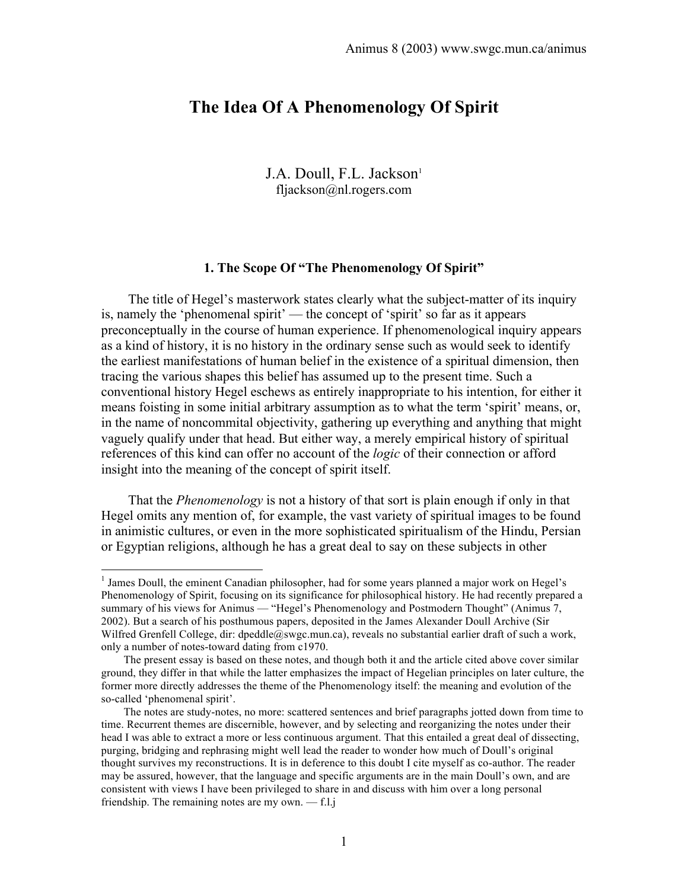# **The Idea Of A Phenomenology Of Spirit**

J.A. Doull, F.L. Jackson<sup>1</sup> fljackson@nl.rogers.com

## **1. The Scope Of "The Phenomenology Of Spirit"**

 The title of Hegel's masterwork states clearly what the subject-matter of its inquiry is, namely the 'phenomenal spirit' — the concept of 'spirit' so far as it appears preconceptually in the course of human experience. If phenomenological inquiry appears as a kind of history, it is no history in the ordinary sense such as would seek to identify the earliest manifestations of human belief in the existence of a spiritual dimension, then tracing the various shapes this belief has assumed up to the present time. Such a conventional history Hegel eschews as entirely inappropriate to his intention, for either it means foisting in some initial arbitrary assumption as to what the term 'spirit' means, or, in the name of noncommital objectivity, gathering up everything and anything that might vaguely qualify under that head. But either way, a merely empirical history of spiritual references of this kind can offer no account of the *logic* of their connection or afford insight into the meaning of the concept of spirit itself.

 That the *Phenomenology* is not a history of that sort is plain enough if only in that Hegel omits any mention of, for example, the vast variety of spiritual images to be found in animistic cultures, or even in the more sophisticated spiritualism of the Hindu, Persian or Egyptian religions, although he has a great deal to say on these subjects in other

 $\frac{1}{1}$ <sup>1</sup> James Doull, the eminent Canadian philosopher, had for some years planned a major work on Hegel's Phenomenology of Spirit, focusing on its significance for philosophical history. He had recently prepared a summary of his views for Animus — "Hegel's Phenomenology and Postmodern Thought" (Animus 7, 2002). But a search of his posthumous papers, deposited in the James Alexander Doull Archive (Sir Wilfred Grenfell College, dir: dpeddle@swgc.mun.ca), reveals no substantial earlier draft of such a work, only a number of notes-toward dating from c1970.

The present essay is based on these notes, and though both it and the article cited above cover similar ground, they differ in that while the latter emphasizes the impact of Hegelian principles on later culture, the former more directly addresses the theme of the Phenomenology itself: the meaning and evolution of the so-called 'phenomenal spirit'.

The notes are study-notes, no more: scattered sentences and brief paragraphs jotted down from time to time. Recurrent themes are discernible, however, and by selecting and reorganizing the notes under their head I was able to extract a more or less continuous argument. That this entailed a great deal of dissecting, purging, bridging and rephrasing might well lead the reader to wonder how much of Doull's original thought survives my reconstructions. It is in deference to this doubt I cite myself as co-author. The reader may be assured, however, that the language and specific arguments are in the main Doull's own, and are consistent with views I have been privileged to share in and discuss with him over a long personal friendship. The remaining notes are my own. — f.l.j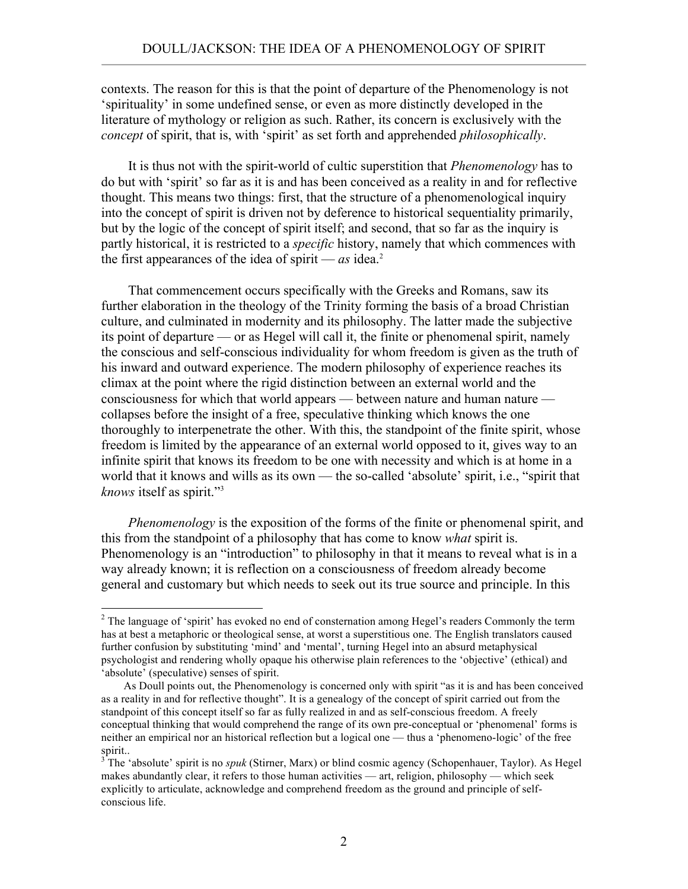contexts. The reason for this is that the point of departure of the Phenomenology is not 'spirituality' in some undefined sense, or even as more distinctly developed in the literature of mythology or religion as such. Rather, its concern is exclusively with the *concept* of spirit, that is, with 'spirit' as set forth and apprehended *philosophically*.

 It is thus not with the spirit-world of cultic superstition that *Phenomenology* has to do but with 'spirit' so far as it is and has been conceived as a reality in and for reflective thought. This means two things: first, that the structure of a phenomenological inquiry into the concept of spirit is driven not by deference to historical sequentiality primarily, but by the logic of the concept of spirit itself; and second, that so far as the inquiry is partly historical, it is restricted to a *specific* history, namely that which commences with the first appearances of the idea of spirit —  $as$  idea.<sup>2</sup>

 That commencement occurs specifically with the Greeks and Romans, saw its further elaboration in the theology of the Trinity forming the basis of a broad Christian culture, and culminated in modernity and its philosophy. The latter made the subjective its point of departure — or as Hegel will call it, the finite or phenomenal spirit, namely the conscious and self-conscious individuality for whom freedom is given as the truth of his inward and outward experience. The modern philosophy of experience reaches its climax at the point where the rigid distinction between an external world and the consciousness for which that world appears — between nature and human nature collapses before the insight of a free, speculative thinking which knows the one thoroughly to interpenetrate the other. With this, the standpoint of the finite spirit, whose freedom is limited by the appearance of an external world opposed to it, gives way to an infinite spirit that knows its freedom to be one with necessity and which is at home in a world that it knows and wills as its own — the so-called 'absolute' spirit, i.e., "spirit that *knows* itself as spirit."3

 *Phenomenology* is the exposition of the forms of the finite or phenomenal spirit, and this from the standpoint of a philosophy that has come to know *what* spirit is. Phenomenology is an "introduction" to philosophy in that it means to reveal what is in a way already known; it is reflection on a consciousness of freedom already become general and customary but which needs to seek out its true source and principle. In this

 $\frac{1}{2}$  $2$  The language of 'spirit' has evoked no end of consternation among Hegel's readers Commonly the term has at best a metaphoric or theological sense, at worst a superstitious one. The English translators caused further confusion by substituting 'mind' and 'mental', turning Hegel into an absurd metaphysical psychologist and rendering wholly opaque his otherwise plain references to the 'objective' (ethical) and 'absolute' (speculative) senses of spirit.

As Doull points out, the Phenomenology is concerned only with spirit "as it is and has been conceived as a reality in and for reflective thought". It is a genealogy of the concept of spirit carried out from the standpoint of this concept itself so far as fully realized in and as self-conscious freedom. A freely conceptual thinking that would comprehend the range of its own pre-conceptual or 'phenomenal' forms is neither an empirical nor an historical reflection but a logical one — thus a 'phenomeno-logic' of the free spirit..

<sup>&</sup>lt;sup>3</sup> The 'absolute' spirit is no *spuk* (Stirner, Marx) or blind cosmic agency (Schopenhauer, Taylor). As Hegel makes abundantly clear, it refers to those human activities — art, religion, philosophy — which seek explicitly to articulate, acknowledge and comprehend freedom as the ground and principle of selfconscious life.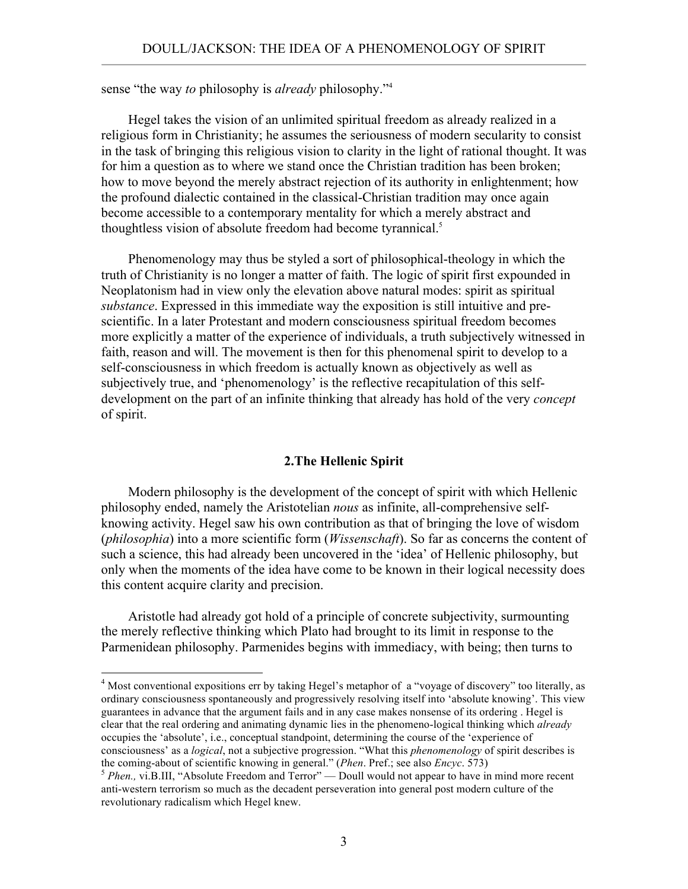sense "the way *to* philosophy is *already* philosophy."4

 Hegel takes the vision of an unlimited spiritual freedom as already realized in a religious form in Christianity; he assumes the seriousness of modern secularity to consist in the task of bringing this religious vision to clarity in the light of rational thought. It was for him a question as to where we stand once the Christian tradition has been broken; how to move beyond the merely abstract rejection of its authority in enlightenment; how the profound dialectic contained in the classical-Christian tradition may once again become accessible to a contemporary mentality for which a merely abstract and thoughtless vision of absolute freedom had become tyrannical.<sup>5</sup>

 Phenomenology may thus be styled a sort of philosophical-theology in which the truth of Christianity is no longer a matter of faith. The logic of spirit first expounded in Neoplatonism had in view only the elevation above natural modes: spirit as spiritual *substance*. Expressed in this immediate way the exposition is still intuitive and prescientific. In a later Protestant and modern consciousness spiritual freedom becomes more explicitly a matter of the experience of individuals, a truth subjectively witnessed in faith, reason and will. The movement is then for this phenomenal spirit to develop to a self-consciousness in which freedom is actually known as objectively as well as subjectively true, and 'phenomenology' is the reflective recapitulation of this selfdevelopment on the part of an infinite thinking that already has hold of the very *concept* of spirit.

### **2.The Hellenic Spirit**

 Modern philosophy is the development of the concept of spirit with which Hellenic philosophy ended, namely the Aristotelian *nous* as infinite, all-comprehensive selfknowing activity. Hegel saw his own contribution as that of bringing the love of wisdom (*philosophia*) into a more scientific form (*Wissenschaft*). So far as concerns the content of such a science, this had already been uncovered in the 'idea' of Hellenic philosophy, but only when the moments of the idea have come to be known in their logical necessity does this content acquire clarity and precision.

 Aristotle had already got hold of a principle of concrete subjectivity, surmounting the merely reflective thinking which Plato had brought to its limit in response to the Parmenidean philosophy. Parmenides begins with immediacy, with being; then turns to

 $\frac{1}{4}$ <sup>4</sup> Most conventional expositions err by taking Hegel's metaphor of a "voyage of discovery" too literally, as ordinary consciousness spontaneously and progressively resolving itself into 'absolute knowing'. This view guarantees in advance that the argument fails and in any case makes nonsense of its ordering . Hegel is clear that the real ordering and animating dynamic lies in the phenomeno-logical thinking which *already* occupies the 'absolute', i.e., conceptual standpoint, determining the course of the 'experience of consciousness' as a *logical*, not a subjective progression. "What this *phenomenology* of spirit describes is <sup>5</sup> *Phen.*, vi.B.III, "Absolute Freedom and Terror" — Doull would not appear to have in mind more recent <sup>5</sup> *Phen.*, vi.B.III, "Absolute Freedom and Terror" — Doull would not appear to have in mind more recent

anti-western terrorism so much as the decadent perseveration into general post modern culture of the revolutionary radicalism which Hegel knew.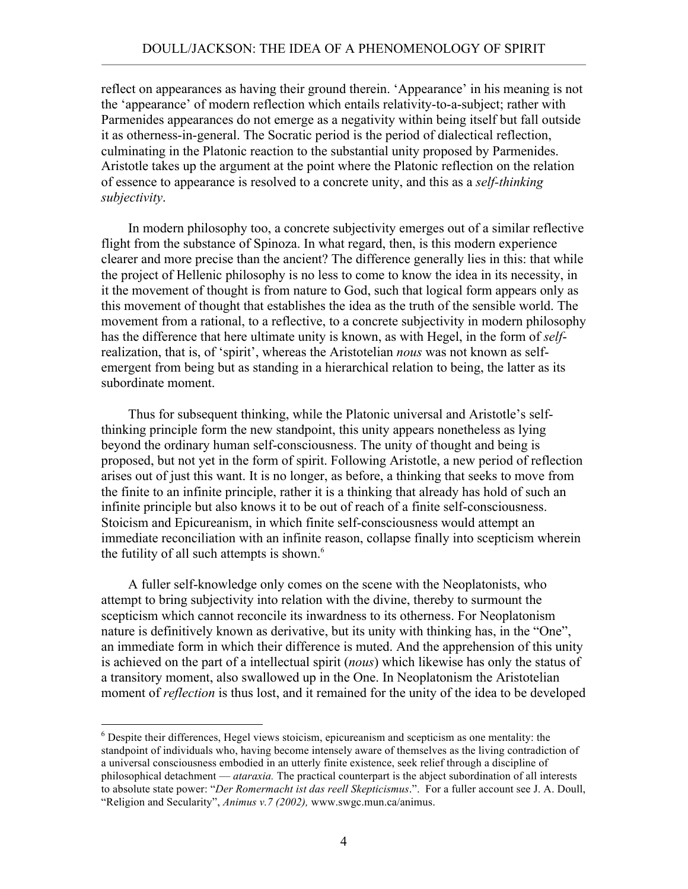reflect on appearances as having their ground therein. 'Appearance' in his meaning is not the 'appearance' of modern reflection which entails relativity-to-a-subject; rather with Parmenides appearances do not emerge as a negativity within being itself but fall outside it as otherness-in-general. The Socratic period is the period of dialectical reflection, culminating in the Platonic reaction to the substantial unity proposed by Parmenides. Aristotle takes up the argument at the point where the Platonic reflection on the relation of essence to appearance is resolved to a concrete unity, and this as a *self-thinking subjectivity*.

 In modern philosophy too, a concrete subjectivity emerges out of a similar reflective flight from the substance of Spinoza. In what regard, then, is this modern experience clearer and more precise than the ancient? The difference generally lies in this: that while the project of Hellenic philosophy is no less to come to know the idea in its necessity, in it the movement of thought is from nature to God, such that logical form appears only as this movement of thought that establishes the idea as the truth of the sensible world. The movement from a rational, to a reflective, to a concrete subjectivity in modern philosophy has the difference that here ultimate unity is known, as with Hegel, in the form of *self*realization, that is, of 'spirit', whereas the Aristotelian *nous* was not known as selfemergent from being but as standing in a hierarchical relation to being, the latter as its subordinate moment.

 Thus for subsequent thinking, while the Platonic universal and Aristotle's selfthinking principle form the new standpoint, this unity appears nonetheless as lying beyond the ordinary human self-consciousness. The unity of thought and being is proposed, but not yet in the form of spirit. Following Aristotle, a new period of reflection arises out of just this want. It is no longer, as before, a thinking that seeks to move from the finite to an infinite principle, rather it is a thinking that already has hold of such an infinite principle but also knows it to be out of reach of a finite self-consciousness. Stoicism and Epicureanism, in which finite self-consciousness would attempt an immediate reconciliation with an infinite reason, collapse finally into scepticism wherein the futility of all such attempts is shown. $6$ 

 A fuller self-knowledge only comes on the scene with the Neoplatonists, who attempt to bring subjectivity into relation with the divine, thereby to surmount the scepticism which cannot reconcile its inwardness to its otherness. For Neoplatonism nature is definitively known as derivative, but its unity with thinking has, in the "One", an immediate form in which their difference is muted. And the apprehension of this unity is achieved on the part of a intellectual spirit (*nous*) which likewise has only the status of a transitory moment, also swallowed up in the One. In Neoplatonism the Aristotelian moment of *reflection* is thus lost, and it remained for the unity of the idea to be developed

 <sup>6</sup> Despite their differences, Hegel views stoicism, epicureanism and scepticism as one mentality: the standpoint of individuals who, having become intensely aware of themselves as the living contradiction of a universal consciousness embodied in an utterly finite existence, seek relief through a discipline of philosophical detachment — *ataraxia.* The practical counterpart is the abject subordination of all interests to absolute state power: "*Der Romermacht ist das reell Skepticismus*.". For a fuller account see J. A. Doull, "Religion and Secularity", *Animus v.7 (2002),* www.swgc.mun.ca/animus.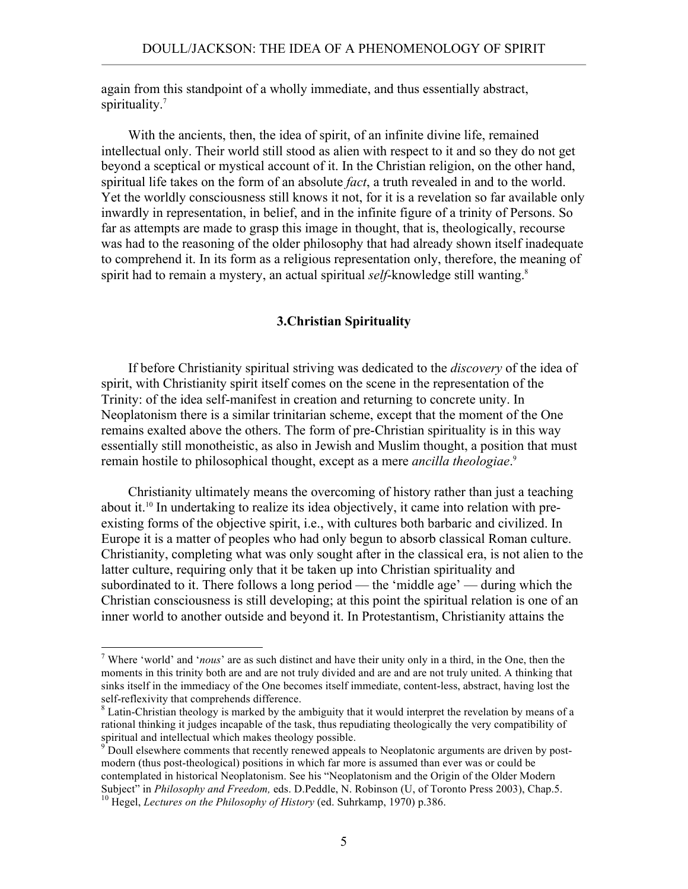again from this standpoint of a wholly immediate, and thus essentially abstract, spirituality.<sup>7</sup>

 With the ancients, then, the idea of spirit, of an infinite divine life, remained intellectual only. Their world still stood as alien with respect to it and so they do not get beyond a sceptical or mystical account of it. In the Christian religion, on the other hand, spiritual life takes on the form of an absolute *fact*, a truth revealed in and to the world. Yet the worldly consciousness still knows it not, for it is a revelation so far available only inwardly in representation, in belief, and in the infinite figure of a trinity of Persons. So far as attempts are made to grasp this image in thought, that is, theologically, recourse was had to the reasoning of the older philosophy that had already shown itself inadequate to comprehend it. In its form as a religious representation only, therefore, the meaning of spirit had to remain a mystery, an actual spiritual *self*-knowledge still wanting. 8

## **3.Christian Spirituality**

 If before Christianity spiritual striving was dedicated to the *discovery* of the idea of spirit, with Christianity spirit itself comes on the scene in the representation of the Trinity: of the idea self-manifest in creation and returning to concrete unity. In Neoplatonism there is a similar trinitarian scheme, except that the moment of the One remains exalted above the others. The form of pre-Christian spirituality is in this way essentially still monotheistic, as also in Jewish and Muslim thought, a position that must remain hostile to philosophical thought, except as a mere *ancilla theologiae*. 9

 Christianity ultimately means the overcoming of history rather than just a teaching about it.10 In undertaking to realize its idea objectively, it came into relation with preexisting forms of the objective spirit, i.e., with cultures both barbaric and civilized. In Europe it is a matter of peoples who had only begun to absorb classical Roman culture. Christianity, completing what was only sought after in the classical era, is not alien to the latter culture, requiring only that it be taken up into Christian spirituality and subordinated to it. There follows a long period — the 'middle age' — during which the Christian consciousness is still developing; at this point the spiritual relation is one of an inner world to another outside and beyond it. In Protestantism, Christianity attains the

 $\frac{1}{7}$  Where 'world' and '*nous*' are as such distinct and have their unity only in a third, in the One, then the moments in this trinity both are and are not truly divided and are and are not truly united. A thinking that sinks itself in the immediacy of the One becomes itself immediate, content-less, abstract, having lost the self-reflexivity that comprehends difference.

 ${}^8$  Latin-Christian theology is marked by the ambiguity that it would interpret the revelation by means of a rational thinking it judges incapable of the task, thus repudiating theologically the very compatibility of spiritual and intellectual which makes theology possible.<br><sup>9</sup> Doull elsewhere comments that recently renewed appeals to Neoplatonic arguments are driven by post-

modern (thus post-theological) positions in which far more is assumed than ever was or could be contemplated in historical Neoplatonism. See his "Neoplatonism and the Origin of the Older Modern Subject" in *Philosophy and Freedom*, eds. D.Peddle, N. Robinson (U, of Toronto Press 2003), Chap.5. <sup>10</sup> Hegel, *Lectures on the Philosophy of History* (ed. Suhrkamp, 1970) p.386.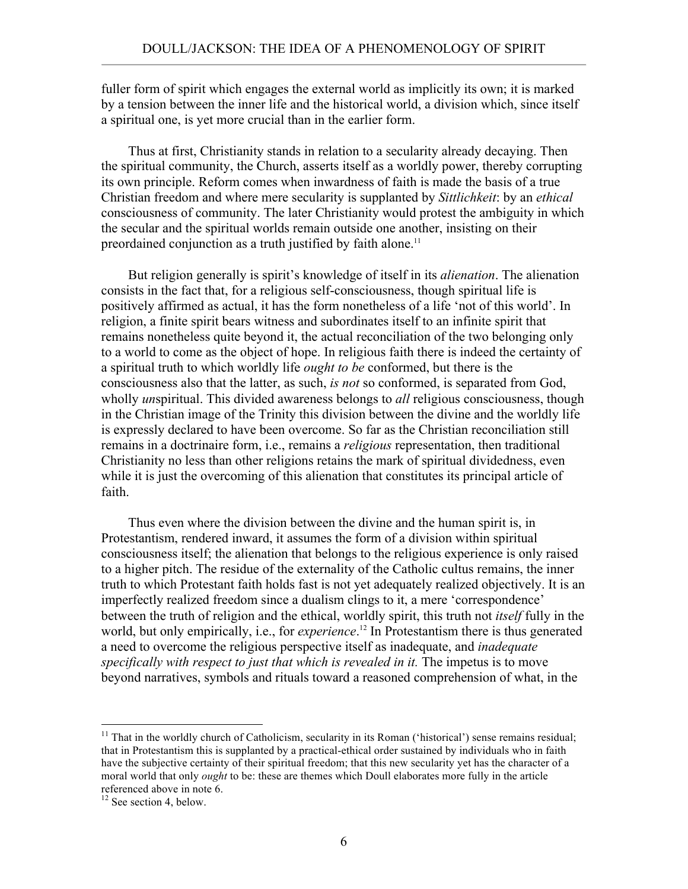fuller form of spirit which engages the external world as implicitly its own; it is marked by a tension between the inner life and the historical world, a division which, since itself a spiritual one, is yet more crucial than in the earlier form.

 Thus at first, Christianity stands in relation to a secularity already decaying. Then the spiritual community, the Church, asserts itself as a worldly power, thereby corrupting its own principle. Reform comes when inwardness of faith is made the basis of a true Christian freedom and where mere secularity is supplanted by *Sittlichkeit*: by an *ethical* consciousness of community. The later Christianity would protest the ambiguity in which the secular and the spiritual worlds remain outside one another, insisting on their preordained conjunction as a truth justified by faith alone.<sup>11</sup>

 But religion generally is spirit's knowledge of itself in its *alienation*. The alienation consists in the fact that, for a religious self-consciousness, though spiritual life is positively affirmed as actual, it has the form nonetheless of a life 'not of this world'. In religion, a finite spirit bears witness and subordinates itself to an infinite spirit that remains nonetheless quite beyond it, the actual reconciliation of the two belonging only to a world to come as the object of hope. In religious faith there is indeed the certainty of a spiritual truth to which worldly life *ought to be* conformed, but there is the consciousness also that the latter, as such, *is not* so conformed, is separated from God, wholly *un*spiritual. This divided awareness belongs to *all* religious consciousness, though in the Christian image of the Trinity this division between the divine and the worldly life is expressly declared to have been overcome. So far as the Christian reconciliation still remains in a doctrinaire form, i.e., remains a *religious* representation, then traditional Christianity no less than other religions retains the mark of spiritual dividedness, even while it is just the overcoming of this alienation that constitutes its principal article of faith.

 Thus even where the division between the divine and the human spirit is, in Protestantism, rendered inward, it assumes the form of a division within spiritual consciousness itself; the alienation that belongs to the religious experience is only raised to a higher pitch. The residue of the externality of the Catholic cultus remains, the inner truth to which Protestant faith holds fast is not yet adequately realized objectively. It is an imperfectly realized freedom since a dualism clings to it, a mere 'correspondence' between the truth of religion and the ethical, worldly spirit, this truth not *itself* fully in the world, but only empirically, i.e., for *experience*. 12 In Protestantism there is thus generated a need to overcome the religious perspective itself as inadequate, and *inadequate specifically with respect to just that which is revealed in it.* The impetus is to move beyond narratives, symbols and rituals toward a reasoned comprehension of what, in the

<sup>&</sup>lt;sup>11</sup> That in the worldly church of Catholicism, secularity in its Roman ('historical') sense remains residual; that in Protestantism this is supplanted by a practical-ethical order sustained by individuals who in faith have the subjective certainty of their spiritual freedom; that this new secularity yet has the character of a moral world that only *ought* to be: these are themes which Doull elaborates more fully in the article referenced above in note 6.

 $12$  See section 4, below.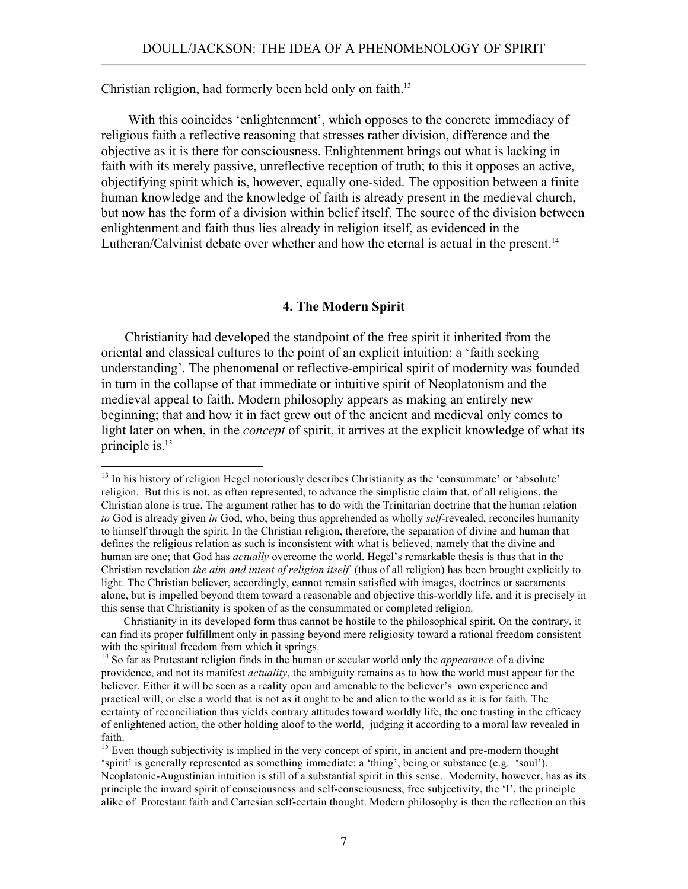Christian religion, had formerly been held only on faith.<sup>13</sup>

 With this coincides 'enlightenment', which opposes to the concrete immediacy of religious faith a reflective reasoning that stresses rather division, difference and the objective as it is there for consciousness. Enlightenment brings out what is lacking in faith with its merely passive, unreflective reception of truth; to this it opposes an active, objectifying spirit which is, however, equally one-sided. The opposition between a finite human knowledge and the knowledge of faith is already present in the medieval church, but now has the form of a division within belief itself. The source of the division between enlightenment and faith thus lies already in religion itself, as evidenced in the Lutheran/Calvinist debate over whether and how the eternal is actual in the present.<sup>14</sup>

### **4. The Modern Spirit**

 Christianity had developed the standpoint of the free spirit it inherited from the oriental and classical cultures to the point of an explicit intuition: a 'faith seeking understanding'. The phenomenal or reflective-empirical spirit of modernity was founded in turn in the collapse of that immediate or intuitive spirit of Neoplatonism and the medieval appeal to faith. Modern philosophy appears as making an entirely new beginning; that and how it in fact grew out of the ancient and medieval only comes to light later on when, in the *concept* of spirit, it arrives at the explicit knowledge of what its principle is.15

<sup>&</sup>lt;sup>13</sup> In his history of religion Hegel notoriously describes Christianity as the 'consummate' or 'absolute' religion. But this is not, as often represented, to advance the simplistic claim that, of all religions, the Christian alone is true. The argument rather has to do with the Trinitarian doctrine that the human relation *to* God is already given *in* God, who, being thus apprehended as wholly *self*-revealed, reconciles humanity to himself through the spirit. In the Christian religion, therefore, the separation of divine and human that defines the religious relation as such is inconsistent with what is believed, namely that the divine and human are one; that God has *actually* overcome the world. Hegel's remarkable thesis is thus that in the Christian revelation *the aim and intent of religion itself* (thus of all religion) has been brought explicitly to light. The Christian believer, accordingly, cannot remain satisfied with images, doctrines or sacraments alone, but is impelled beyond them toward a reasonable and objective this-worldly life, and it is precisely in this sense that Christianity is spoken of as the consummated or completed religion.

Christianity in its developed form thus cannot be hostile to the philosophical spirit. On the contrary, it can find its proper fulfillment only in passing beyond mere religiosity toward a rational freedom consistent with the spiritual freedom from which it springs.

<sup>&</sup>lt;sup>14</sup> So far as Protestant religion finds in the human or secular world only the *appearance* of a divine providence, and not its manifest *actuality*, the ambiguity remains as to how the world must appear for the believer. Either it will be seen as a reality open and amenable to the believer's own experience and practical will, or else a world that is not as it ought to be and alien to the world as it is for faith. The certainty of reconciliation thus yields contrary attitudes toward worldly life, the one trusting in the efficacy of enlightened action, the other holding aloof to the world, judging it according to a moral law revealed in faith.

<sup>&</sup>lt;sup>15</sup> Even though subjectivity is implied in the very concept of spirit, in ancient and pre-modern thought 'spirit' is generally represented as something immediate: a 'thing', being or substance (e.g. 'soul'). Neoplatonic-Augustinian intuition is still of a substantial spirit in this sense. Modernity, however, has as its principle the inward spirit of consciousness and self-consciousness, free subjectivity, the 'I', the principle alike of Protestant faith and Cartesian self-certain thought. Modern philosophy is then the reflection on this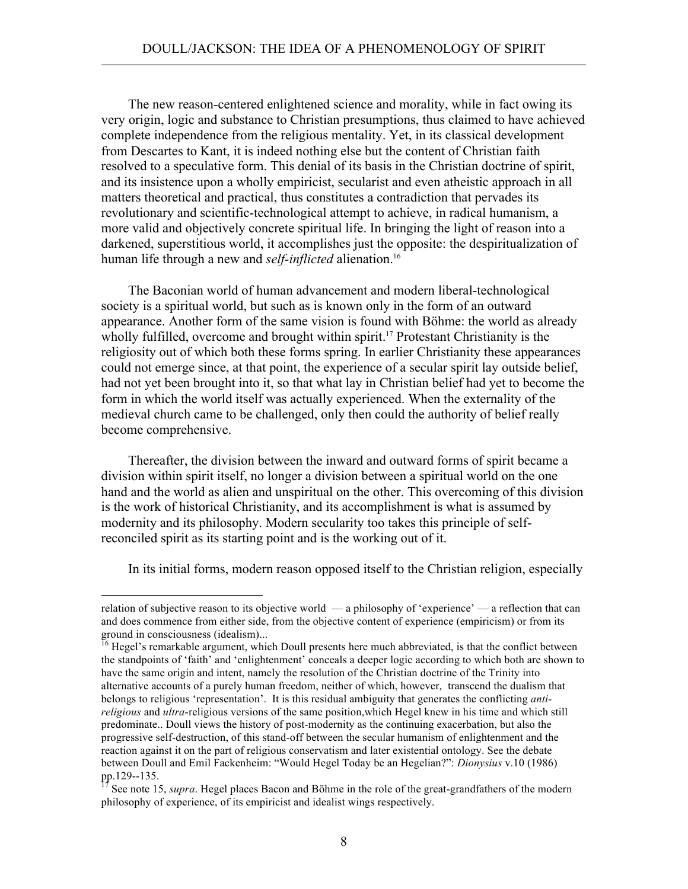The new reason-centered enlightened science and morality, while in fact owing its very origin, logic and substance to Christian presumptions, thus claimed to have achieved complete independence from the religious mentality. Yet, in its classical development from Descartes to Kant, it is indeed nothing else but the content of Christian faith resolved to a speculative form. This denial of its basis in the Christian doctrine of spirit, and its insistence upon a wholly empiricist, secularist and even atheistic approach in all matters theoretical and practical, thus constitutes a contradiction that pervades its revolutionary and scientific-technological attempt to achieve, in radical humanism, a more valid and objectively concrete spiritual life. In bringing the light of reason into a darkened, superstitious world, it accomplishes just the opposite: the despiritualization of human life through a new and *self-inflicted* alienation.<sup>16</sup>

 The Baconian world of human advancement and modern liberal-technological society is a spiritual world, but such as is known only in the form of an outward appearance. Another form of the same vision is found with Böhme: the world as already wholly fulfilled, overcome and brought within spirit.<sup>17</sup> Protestant Christianity is the religiosity out of which both these forms spring. In earlier Christianity these appearances could not emerge since, at that point, the experience of a secular spirit lay outside belief, had not yet been brought into it, so that what lay in Christian belief had yet to become the form in which the world itself was actually experienced. When the externality of the medieval church came to be challenged, only then could the authority of belief really become comprehensive.

 Thereafter, the division between the inward and outward forms of spirit became a division within spirit itself, no longer a division between a spiritual world on the one hand and the world as alien and unspiritual on the other. This overcoming of this division is the work of historical Christianity, and its accomplishment is what is assumed by modernity and its philosophy. Modern secularity too takes this principle of selfreconciled spirit as its starting point and is the working out of it.

In its initial forms, modern reason opposed itself to the Christian religion, especially

relation of subjective reason to its objective world — a philosophy of 'experience' — a reflection that can and does commence from either side, from the objective content of experience (empiricism) or from its ground in consciousness (idealism)...<br><sup>16</sup> Hegel's remarkable argument, which Doull presents here much abbreviated, is that the conflict between

the standpoints of 'faith' and 'enlightenment' conceals a deeper logic according to which both are shown to have the same origin and intent, namely the resolution of the Christian doctrine of the Trinity into alternative accounts of a purely human freedom, neither of which, however, transcend the dualism that belongs to religious 'representation'. It is this residual ambiguity that generates the conflicting *antireligious* and *ultra*-religious versions of the same position,which Hegel knew in his time and which still predominate.. Doull views the history of post-modernity as the continuing exacerbation, but also the progressive self-destruction, of this stand-off between the secular humanism of enlightenment and the reaction against it on the part of religious conservatism and later existential ontology. See the debate between Doull and Emil Fackenheim: "Would Hegel Today be an Hegelian?": *Dionysius* v.10 (1986)

See note 15, *supra*. Hegel places Bacon and Böhme in the role of the great-grandfathers of the modern philosophy of experience, of its empiricist and idealist wings respectively.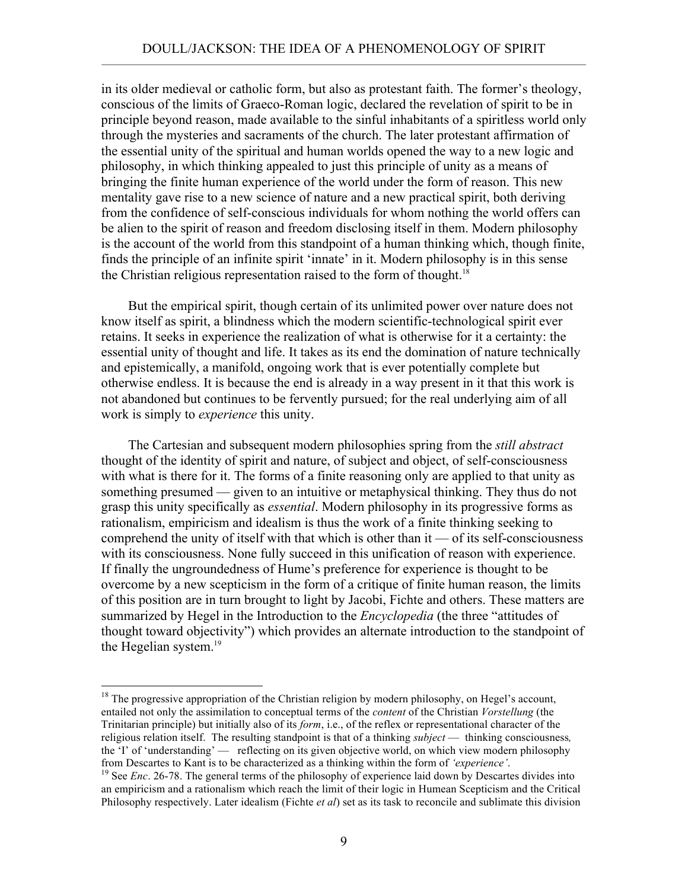in its older medieval or catholic form, but also as protestant faith. The former's theology, conscious of the limits of Graeco-Roman logic, declared the revelation of spirit to be in principle beyond reason, made available to the sinful inhabitants of a spiritless world only through the mysteries and sacraments of the church. The later protestant affirmation of the essential unity of the spiritual and human worlds opened the way to a new logic and philosophy, in which thinking appealed to just this principle of unity as a means of bringing the finite human experience of the world under the form of reason. This new mentality gave rise to a new science of nature and a new practical spirit, both deriving from the confidence of self-conscious individuals for whom nothing the world offers can be alien to the spirit of reason and freedom disclosing itself in them. Modern philosophy is the account of the world from this standpoint of a human thinking which, though finite, finds the principle of an infinite spirit 'innate' in it. Modern philosophy is in this sense the Christian religious representation raised to the form of thought.<sup>18</sup>

 But the empirical spirit, though certain of its unlimited power over nature does not know itself as spirit, a blindness which the modern scientific-technological spirit ever retains. It seeks in experience the realization of what is otherwise for it a certainty: the essential unity of thought and life. It takes as its end the domination of nature technically and epistemically, a manifold, ongoing work that is ever potentially complete but otherwise endless. It is because the end is already in a way present in it that this work is not abandoned but continues to be fervently pursued; for the real underlying aim of all work is simply to *experience* this unity.

 The Cartesian and subsequent modern philosophies spring from the *still abstract* thought of the identity of spirit and nature, of subject and object, of self-consciousness with what is there for it. The forms of a finite reasoning only are applied to that unity as something presumed — given to an intuitive or metaphysical thinking. They thus do not grasp this unity specifically as *essential*. Modern philosophy in its progressive forms as rationalism, empiricism and idealism is thus the work of a finite thinking seeking to comprehend the unity of itself with that which is other than it — of its self-consciousness with its consciousness. None fully succeed in this unification of reason with experience. If finally the ungroundedness of Hume's preference for experience is thought to be overcome by a new scepticism in the form of a critique of finite human reason, the limits of this position are in turn brought to light by Jacobi, Fichte and others. These matters are summarized by Hegel in the Introduction to the *Encyclopedia* (the three "attitudes of thought toward objectivity") which provides an alternate introduction to the standpoint of the Hegelian system.<sup>19</sup>

<sup>&</sup>lt;sup>18</sup> The progressive appropriation of the Christian religion by modern philosophy, on Hegel's account, entailed not only the assimilation to conceptual terms of the *content* of the Christian *Vorstellung* (the Trinitarian principle) but initially also of its *form*, i.e., of the reflex or representational character of the religious relation itself. The resulting standpoint is that of a thinking *subject* — thinking consciousness*,*  the 'I' of 'understanding' — reflecting on its given objective world, on which view modern philosophy from Descartes to Kant is to be characterized as a thinking within the form of *'experience'*.

<sup>&</sup>lt;sup>19</sup> See *Enc.* 26-78. The general terms of the philosophy of experience laid down by Descartes divides into an empiricism and a rationalism which reach the limit of their logic in Humean Scepticism and the Critical Philosophy respectively. Later idealism (Fichte *et al*) set as its task to reconcile and sublimate this division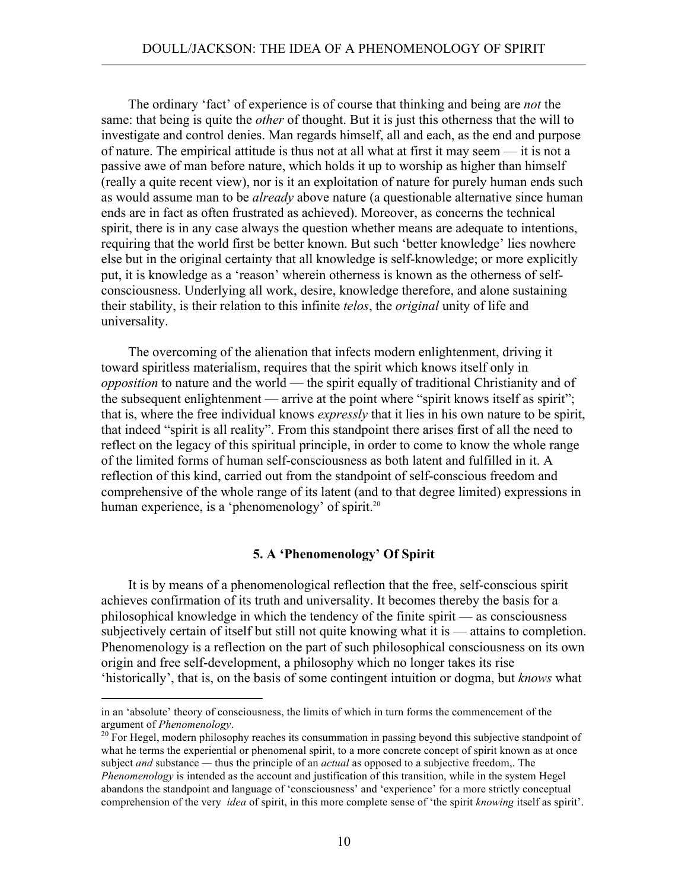The ordinary 'fact' of experience is of course that thinking and being are *not* the same: that being is quite the *other* of thought. But it is just this otherness that the will to investigate and control denies. Man regards himself, all and each, as the end and purpose of nature. The empirical attitude is thus not at all what at first it may seem — it is not a passive awe of man before nature, which holds it up to worship as higher than himself (really a quite recent view), nor is it an exploitation of nature for purely human ends such as would assume man to be *already* above nature (a questionable alternative since human ends are in fact as often frustrated as achieved). Moreover, as concerns the technical spirit, there is in any case always the question whether means are adequate to intentions, requiring that the world first be better known. But such 'better knowledge' lies nowhere else but in the original certainty that all knowledge is self-knowledge; or more explicitly put, it is knowledge as a 'reason' wherein otherness is known as the otherness of selfconsciousness. Underlying all work, desire, knowledge therefore, and alone sustaining their stability, is their relation to this infinite *telos*, the *original* unity of life and universality.

 The overcoming of the alienation that infects modern enlightenment, driving it toward spiritless materialism, requires that the spirit which knows itself only in *opposition* to nature and the world — the spirit equally of traditional Christianity and of the subsequent enlightenment — arrive at the point where "spirit knows itself as spirit"; that is, where the free individual knows *expressly* that it lies in his own nature to be spirit, that indeed "spirit is all reality". From this standpoint there arises first of all the need to reflect on the legacy of this spiritual principle, in order to come to know the whole range of the limited forms of human self-consciousness as both latent and fulfilled in it. A reflection of this kind, carried out from the standpoint of self-conscious freedom and comprehensive of the whole range of its latent (and to that degree limited) expressions in human experience, is a 'phenomenology' of spirit.<sup>20</sup>

## **5. A 'Phenomenology' Of Spirit**

 It is by means of a phenomenological reflection that the free, self-conscious spirit achieves confirmation of its truth and universality. It becomes thereby the basis for a philosophical knowledge in which the tendency of the finite spirit — as consciousness subjectively certain of itself but still not quite knowing what it is — attains to completion. Phenomenology is a reflection on the part of such philosophical consciousness on its own origin and free self-development, a philosophy which no longer takes its rise 'historically', that is, on the basis of some contingent intuition or dogma, but *knows* what

 $\overline{a}$ 

in an 'absolute' theory of consciousness, the limits of which in turn forms the commencement of the argument of *Phenomenology*.<br><sup>20</sup> For Hegel, modern philosophy reaches its consummation in passing beyond this subjective standpoint of

what he terms the experiential or phenomenal spirit, to a more concrete concept of spirit known as at once subject *and* substance *—* thus the principle of an *actual* as opposed to a subjective freedom,. The *Phenomenology* is intended as the account and justification of this transition, while in the system Hegel abandons the standpoint and language of 'consciousness' and 'experience' for a more strictly conceptual comprehension of the very *idea* of spirit, in this more complete sense of 'the spirit *knowing* itself as spirit'.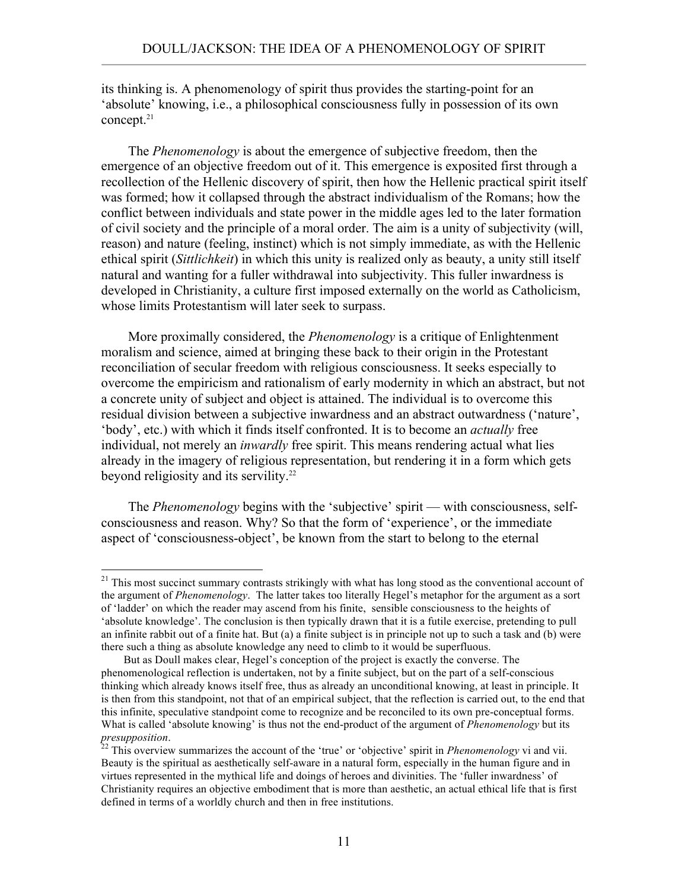its thinking is. A phenomenology of spirit thus provides the starting-point for an 'absolute' knowing, i.e., a philosophical consciousness fully in possession of its own concept.<sup>21</sup>

 The *Phenomenology* is about the emergence of subjective freedom, then the emergence of an objective freedom out of it. This emergence is exposited first through a recollection of the Hellenic discovery of spirit, then how the Hellenic practical spirit itself was formed; how it collapsed through the abstract individualism of the Romans; how the conflict between individuals and state power in the middle ages led to the later formation of civil society and the principle of a moral order. The aim is a unity of subjectivity (will, reason) and nature (feeling, instinct) which is not simply immediate, as with the Hellenic ethical spirit (*Sittlichkeit*) in which this unity is realized only as beauty, a unity still itself natural and wanting for a fuller withdrawal into subjectivity. This fuller inwardness is developed in Christianity, a culture first imposed externally on the world as Catholicism, whose limits Protestantism will later seek to surpass.

 More proximally considered, the *Phenomenology* is a critique of Enlightenment moralism and science, aimed at bringing these back to their origin in the Protestant reconciliation of secular freedom with religious consciousness. It seeks especially to overcome the empiricism and rationalism of early modernity in which an abstract, but not a concrete unity of subject and object is attained. The individual is to overcome this residual division between a subjective inwardness and an abstract outwardness ('nature', 'body', etc.) with which it finds itself confronted. It is to become an *actually* free individual, not merely an *inwardly* free spirit. This means rendering actual what lies already in the imagery of religious representation, but rendering it in a form which gets beyond religiosity and its servility.<sup>22</sup>

 The *Phenomenology* begins with the 'subjective' spirit — with consciousness, selfconsciousness and reason. Why? So that the form of 'experience', or the immediate aspect of 'consciousness-object', be known from the start to belong to the eternal

<sup>&</sup>lt;sup>21</sup> This most succinct summary contrasts strikingly with what has long stood as the conventional account of the argument of *Phenomenology*. The latter takes too literally Hegel's metaphor for the argument as a sort of 'ladder' on which the reader may ascend from his finite, sensible consciousness to the heights of 'absolute knowledge'. The conclusion is then typically drawn that it is a futile exercise, pretending to pull an infinite rabbit out of a finite hat. But (a) a finite subject is in principle not up to such a task and (b) were there such a thing as absolute knowledge any need to climb to it would be superfluous.

But as Doull makes clear, Hegel's conception of the project is exactly the converse. The phenomenological reflection is undertaken, not by a finite subject, but on the part of a self-conscious thinking which already knows itself free, thus as already an unconditional knowing, at least in principle. It is then from this standpoint, not that of an empirical subject, that the reflection is carried out, to the end that this infinite, speculative standpoint come to recognize and be reconciled to its own pre-conceptual forms. What is called 'absolute knowing' is thus not the end-product of the argument of *Phenomenology* but its *presupposition*. 22 This overview summarizes the account of the 'true' or 'objective' spirit in *Phenomenology* vi and vii.

Beauty is the spiritual as aesthetically self-aware in a natural form, especially in the human figure and in virtues represented in the mythical life and doings of heroes and divinities. The 'fuller inwardness' of Christianity requires an objective embodiment that is more than aesthetic, an actual ethical life that is first defined in terms of a worldly church and then in free institutions.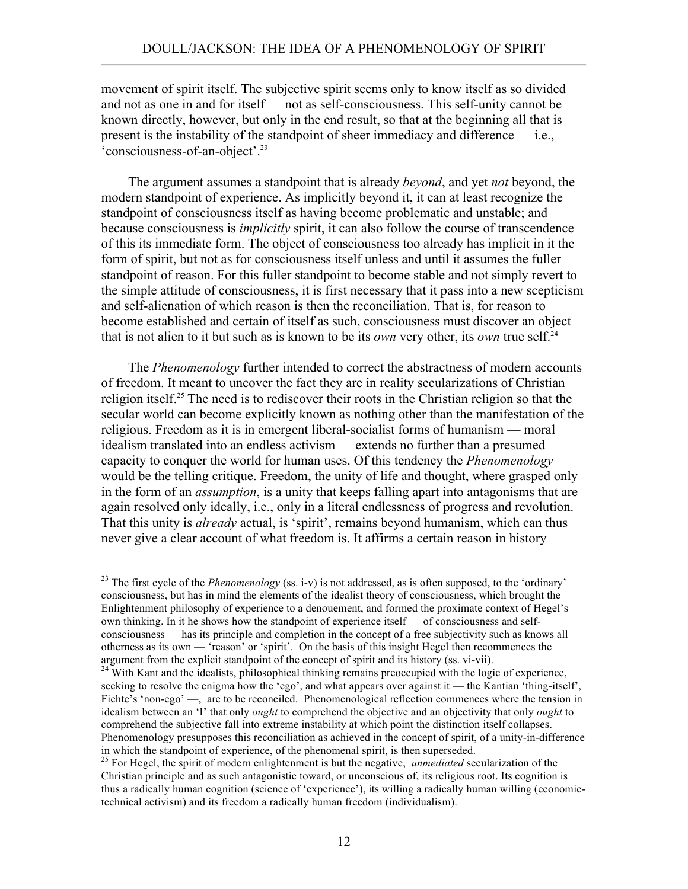movement of spirit itself. The subjective spirit seems only to know itself as so divided and not as one in and for itself — not as self-consciousness. This self-unity cannot be known directly, however, but only in the end result, so that at the beginning all that is present is the instability of the standpoint of sheer immediacy and difference — i.e., 'consciousness-of-an-object'.23

 The argument assumes a standpoint that is already *beyond*, and yet *not* beyond, the modern standpoint of experience. As implicitly beyond it, it can at least recognize the standpoint of consciousness itself as having become problematic and unstable; and because consciousness is *implicitly* spirit, it can also follow the course of transcendence of this its immediate form. The object of consciousness too already has implicit in it the form of spirit, but not as for consciousness itself unless and until it assumes the fuller standpoint of reason. For this fuller standpoint to become stable and not simply revert to the simple attitude of consciousness, it is first necessary that it pass into a new scepticism and self-alienation of which reason is then the reconciliation. That is, for reason to become established and certain of itself as such, consciousness must discover an object that is not alien to it but such as is known to be its *own* very other, its *own* true self.<sup>24</sup>

 The *Phenomenology* further intended to correct the abstractness of modern accounts of freedom. It meant to uncover the fact they are in reality secularizations of Christian religion itself.<sup>25</sup> The need is to rediscover their roots in the Christian religion so that the secular world can become explicitly known as nothing other than the manifestation of the religious. Freedom as it is in emergent liberal-socialist forms of humanism — moral idealism translated into an endless activism — extends no further than a presumed capacity to conquer the world for human uses. Of this tendency the *Phenomenology* would be the telling critique. Freedom, the unity of life and thought, where grasped only in the form of an *assumption*, is a unity that keeps falling apart into antagonisms that are again resolved only ideally, i.e., only in a literal endlessness of progress and revolution. That this unity is *already* actual, is 'spirit', remains beyond humanism, which can thus never give a clear account of what freedom is. It affirms a certain reason in history —

<sup>&</sup>lt;sup>23</sup> The first cycle of the *Phenomenology* (ss. i-v) is not addressed, as is often supposed, to the 'ordinary' consciousness, but has in mind the elements of the idealist theory of consciousness, which brought the Enlightenment philosophy of experience to a denouement, and formed the proximate context of Hegel's own thinking. In it he shows how the standpoint of experience itself — of consciousness and selfconsciousness — has its principle and completion in the concept of a free subjectivity such as knows all otherness as its own — 'reason' or 'spirit'. On the basis of this insight Hegel then recommences the argument from the explicit standpoint of the concept of spirit and its history (ss. vi-vii). 24 With Kant and the idealists, philosophical thinking remains preoccupied with the logic of experience,

seeking to resolve the enigma how the 'ego', and what appears over against it — the Kantian 'thing-itself', Fichte's 'non-ego' —, are to be reconciled. Phenomenological reflection commences where the tension in idealism between an 'I' that only *ought* to comprehend the objective and an objectivity that only *ought* to comprehend the subjective fall into extreme instability at which point the distinction itself collapses. Phenomenology presupposes this reconciliation as achieved in the concept of spirit, of a unity-in-difference in which the standpoint of experience, of the phenomenal spirit, is then superseded.

<sup>&</sup>lt;sup>25</sup> For Hegel, the spirit of modern enlightenment is but the negative, *unmediated* secularization of the Christian principle and as such antagonistic toward, or unconscious of, its religious root. Its cognition is thus a radically human cognition (science of 'experience'), its willing a radically human willing (economictechnical activism) and its freedom a radically human freedom (individualism).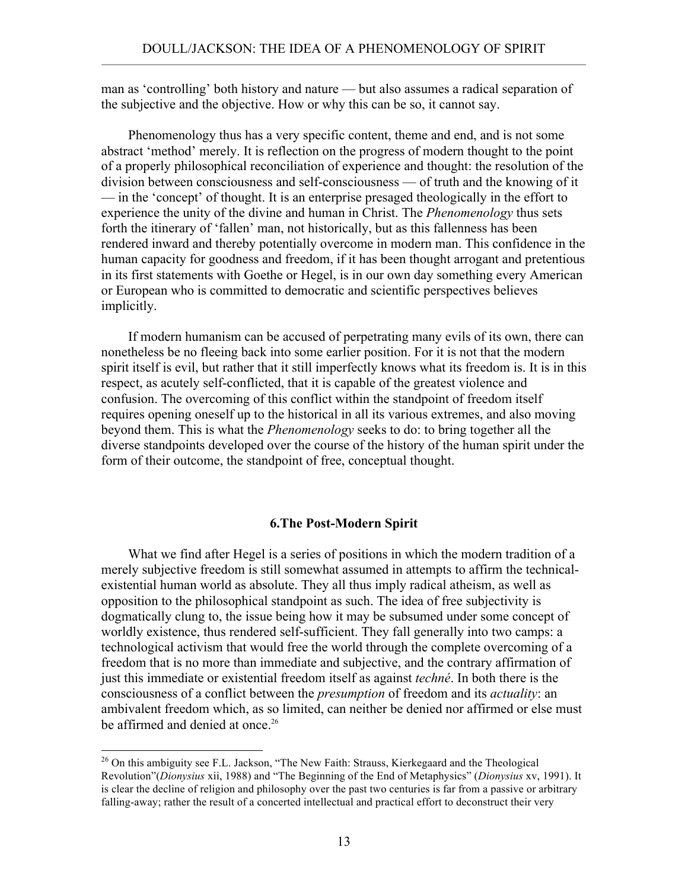man as 'controlling' both history and nature — but also assumes a radical separation of the subjective and the objective. How or why this can be so, it cannot say.

 Phenomenology thus has a very specific content, theme and end, and is not some abstract 'method' merely. It is reflection on the progress of modern thought to the point of a properly philosophical reconciliation of experience and thought: the resolution of the division between consciousness and self-consciousness — of truth and the knowing of it — in the 'concept' of thought. It is an enterprise presaged theologically in the effort to experience the unity of the divine and human in Christ. The *Phenomenology* thus sets forth the itinerary of 'fallen' man, not historically, but as this fallenness has been rendered inward and thereby potentially overcome in modern man. This confidence in the human capacity for goodness and freedom, if it has been thought arrogant and pretentious in its first statements with Goethe or Hegel, is in our own day something every American or European who is committed to democratic and scientific perspectives believes implicitly.

 If modern humanism can be accused of perpetrating many evils of its own, there can nonetheless be no fleeing back into some earlier position. For it is not that the modern spirit itself is evil, but rather that it still imperfectly knows what its freedom is. It is in this respect, as acutely self-conflicted, that it is capable of the greatest violence and confusion. The overcoming of this conflict within the standpoint of freedom itself requires opening oneself up to the historical in all its various extremes, and also moving beyond them. This is what the *Phenomenology* seeks to do: to bring together all the diverse standpoints developed over the course of the history of the human spirit under the form of their outcome, the standpoint of free, conceptual thought.

### **6.The Post-Modern Spirit**

 What we find after Hegel is a series of positions in which the modern tradition of a merely subjective freedom is still somewhat assumed in attempts to affirm the technicalexistential human world as absolute. They all thus imply radical atheism, as well as opposition to the philosophical standpoint as such. The idea of free subjectivity is dogmatically clung to, the issue being how it may be subsumed under some concept of worldly existence, thus rendered self-sufficient. They fall generally into two camps: a technological activism that would free the world through the complete overcoming of a freedom that is no more than immediate and subjective, and the contrary affirmation of just this immediate or existential freedom itself as against *techné*. In both there is the consciousness of a conflict between the *presumption* of freedom and its *actuality*: an ambivalent freedom which, as so limited, can neither be denied nor affirmed or else must be affirmed and denied at once.<sup>26</sup>

<sup>&</sup>lt;sup>26</sup> On this ambiguity see F.L. Jackson, "The New Faith: Strauss, Kierkegaard and the Theological Revolution"(*Dionysius* xii, 1988) and "The Beginning of the End of Metaphysics" (*Dionysius* xv, 1991). It is clear the decline of religion and philosophy over the past two centuries is far from a passive or arbitrary falling-away; rather the result of a concerted intellectual and practical effort to deconstruct their very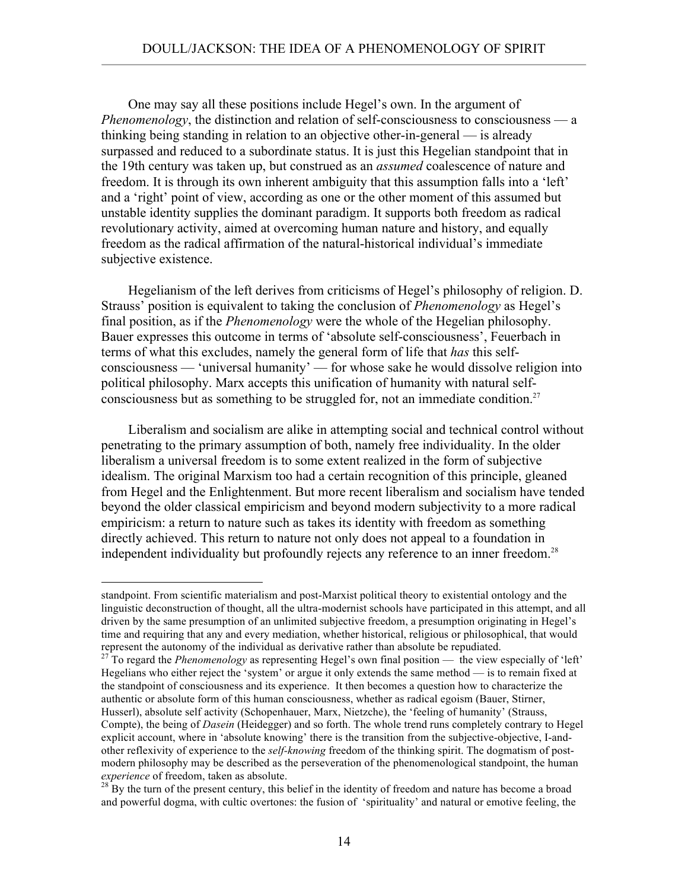One may say all these positions include Hegel's own. In the argument of *Phenomenology*, the distinction and relation of self-consciousness to consciousness — a thinking being standing in relation to an objective other-in-general — is already surpassed and reduced to a subordinate status. It is just this Hegelian standpoint that in the 19th century was taken up, but construed as an *assumed* coalescence of nature and freedom. It is through its own inherent ambiguity that this assumption falls into a 'left' and a 'right' point of view, according as one or the other moment of this assumed but unstable identity supplies the dominant paradigm. It supports both freedom as radical revolutionary activity, aimed at overcoming human nature and history, and equally freedom as the radical affirmation of the natural-historical individual's immediate subjective existence.

 Hegelianism of the left derives from criticisms of Hegel's philosophy of religion. D. Strauss' position is equivalent to taking the conclusion of *Phenomenology* as Hegel's final position, as if the *Phenomenology* were the whole of the Hegelian philosophy. Bauer expresses this outcome in terms of 'absolute self-consciousness', Feuerbach in terms of what this excludes, namely the general form of life that *has* this selfconsciousness — 'universal humanity' — for whose sake he would dissolve religion into political philosophy. Marx accepts this unification of humanity with natural selfconsciousness but as something to be struggled for, not an immediate condition.<sup>27</sup>

 Liberalism and socialism are alike in attempting social and technical control without penetrating to the primary assumption of both, namely free individuality. In the older liberalism a universal freedom is to some extent realized in the form of subjective idealism. The original Marxism too had a certain recognition of this principle, gleaned from Hegel and the Enlightenment. But more recent liberalism and socialism have tended beyond the older classical empiricism and beyond modern subjectivity to a more radical empiricism: a return to nature such as takes its identity with freedom as something directly achieved. This return to nature not only does not appeal to a foundation in independent individuality but profoundly rejects any reference to an inner freedom.<sup>28</sup>

standpoint. From scientific materialism and post-Marxist political theory to existential ontology and the linguistic deconstruction of thought, all the ultra-modernist schools have participated in this attempt, and all driven by the same presumption of an unlimited subjective freedom, a presumption originating in Hegel's time and requiring that any and every mediation, whether historical, religious or philosophical, that would represent the autonomy of the individual as derivative rather than absolute be repudiated. 27 To regard the *Phenomenology* as representing Hegel's own final position — the view especially of 'left'

Hegelians who either reject the 'system' or argue it only extends the same method — is to remain fixed at the standpoint of consciousness and its experience. It then becomes a question how to characterize the authentic or absolute form of this human consciousness, whether as radical egoism (Bauer, Stirner, Husserl), absolute self activity (Schopenhauer, Marx, Nietzche), the 'feeling of humanity' (Strauss, Compte), the being of *Dasein* (Heidegger) and so forth. The whole trend runs completely contrary to Hegel explicit account, where in 'absolute knowing' there is the transition from the subjective-objective, I-andother reflexivity of experience to the *self-knowing* freedom of the thinking spirit. The dogmatism of postmodern philosophy may be described as the perseveration of the phenomenological standpoint, the human *experience* of freedom, taken as absolute.<br><sup>28</sup> By the turn of the present century, this belief in the identity of freedom and nature has become a broad

and powerful dogma, with cultic overtones: the fusion of 'spirituality' and natural or emotive feeling, the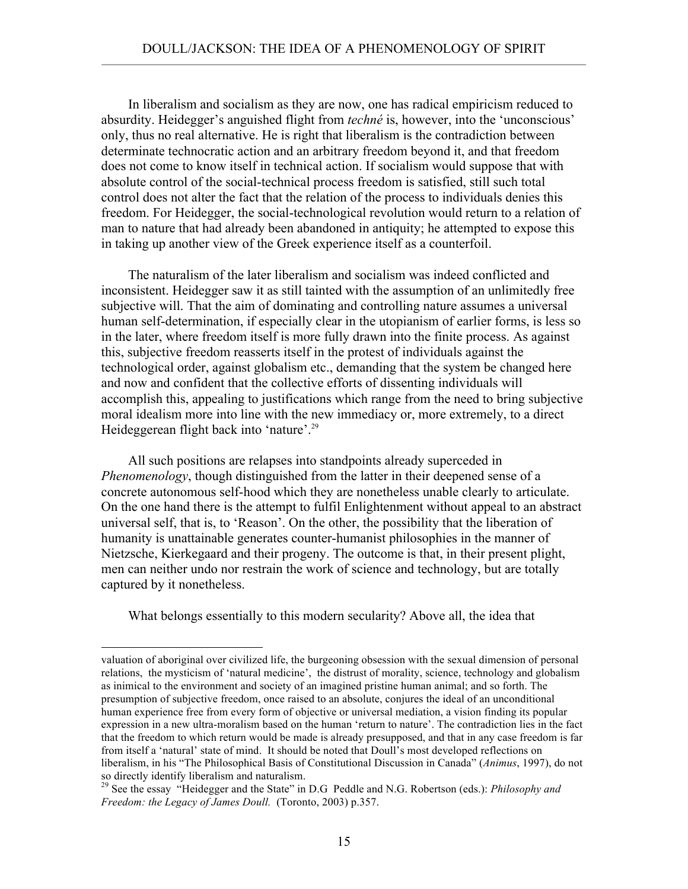In liberalism and socialism as they are now, one has radical empiricism reduced to absurdity. Heidegger's anguished flight from *techné* is, however, into the 'unconscious' only, thus no real alternative. He is right that liberalism is the contradiction between determinate technocratic action and an arbitrary freedom beyond it, and that freedom does not come to know itself in technical action. If socialism would suppose that with absolute control of the social-technical process freedom is satisfied, still such total control does not alter the fact that the relation of the process to individuals denies this freedom. For Heidegger, the social-technological revolution would return to a relation of man to nature that had already been abandoned in antiquity; he attempted to expose this in taking up another view of the Greek experience itself as a counterfoil.

 The naturalism of the later liberalism and socialism was indeed conflicted and inconsistent. Heidegger saw it as still tainted with the assumption of an unlimitedly free subjective will. That the aim of dominating and controlling nature assumes a universal human self-determination, if especially clear in the utopianism of earlier forms, is less so in the later, where freedom itself is more fully drawn into the finite process. As against this, subjective freedom reasserts itself in the protest of individuals against the technological order, against globalism etc., demanding that the system be changed here and now and confident that the collective efforts of dissenting individuals will accomplish this, appealing to justifications which range from the need to bring subjective moral idealism more into line with the new immediacy or, more extremely, to a direct Heideggerean flight back into 'nature'.<sup>29</sup>

 All such positions are relapses into standpoints already superceded in *Phenomenology*, though distinguished from the latter in their deepened sense of a concrete autonomous self-hood which they are nonetheless unable clearly to articulate. On the one hand there is the attempt to fulfil Enlightenment without appeal to an abstract universal self, that is, to 'Reason'. On the other, the possibility that the liberation of humanity is unattainable generates counter-humanist philosophies in the manner of Nietzsche, Kierkegaard and their progeny. The outcome is that, in their present plight, men can neither undo nor restrain the work of science and technology, but are totally captured by it nonetheless.

What belongs essentially to this modern secularity? Above all, the idea that

valuation of aboriginal over civilized life, the burgeoning obsession with the sexual dimension of personal relations, the mysticism of 'natural medicine', the distrust of morality, science, technology and globalism as inimical to the environment and society of an imagined pristine human animal; and so forth. The presumption of subjective freedom, once raised to an absolute, conjures the ideal of an unconditional human experience free from every form of objective or universal mediation, a vision finding its popular expression in a new ultra-moralism based on the human 'return to nature'. The contradiction lies in the fact that the freedom to which return would be made is already presupposed, and that in any case freedom is far from itself a 'natural' state of mind. It should be noted that Doull's most developed reflections on liberalism, in his "The Philosophical Basis of Constitutional Discussion in Canada" (*Animus*, 1997), do not so directly identify liberalism and naturalism.

<sup>29</sup> See the essay "Heidegger and the State" in D.G Peddle and N.G. Robertson (eds.): *Philosophy and Freedom: the Legacy of James Doull.* (Toronto, 2003) p.357.